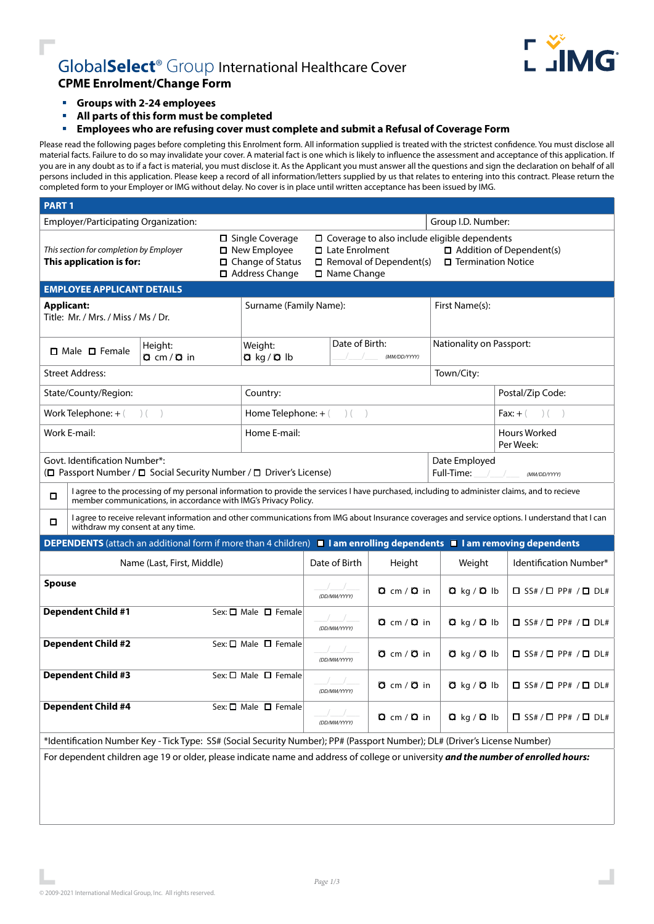

# Global**Select**® Group International Healthcare Cover **CPME Enrolment/Change Form**

- **Groups with 2-24 employees**
- **All parts of this form must be completed**
- **Employees who are refusing cover must complete and submit a Refusal of Coverage Form**

Please read the following pages before completing this Enrolment form. All information supplied is treated with the strictest confidence. You must disclose all material facts. Failure to do so may invalidate your cover. A material fact is one which is likely to influence the assessment and acceptance of this application. If you are in any doubt as to if a fact is material, you must disclose it. As the Applicant you must answer all the questions and sign the declaration on behalf of all persons included in this application. Please keep a record of all information/letters supplied by us that relates to entering into this contract. Please return the completed form to your Employer or IMG without delay. No cover is in place until written acceptance has been issued by IMG.

| <b>PART1</b>                                                                                                                        |                                                                                                                                                                                                                  |  |                                                                                                                                                                                                                                                                        |                                |                                |              |                          |                                      |                                                                                                                       |  |
|-------------------------------------------------------------------------------------------------------------------------------------|------------------------------------------------------------------------------------------------------------------------------------------------------------------------------------------------------------------|--|------------------------------------------------------------------------------------------------------------------------------------------------------------------------------------------------------------------------------------------------------------------------|--------------------------------|--------------------------------|--------------|--------------------------|--------------------------------------|-----------------------------------------------------------------------------------------------------------------------|--|
| Employer/Participating Organization:                                                                                                |                                                                                                                                                                                                                  |  |                                                                                                                                                                                                                                                                        |                                | Group I.D. Number:             |              |                          |                                      |                                                                                                                       |  |
| This section for completion by Employer<br>This application is for:                                                                 |                                                                                                                                                                                                                  |  | □ Single Coverage<br>□ Coverage to also include eligible dependents<br>□ New Employee<br>$\Box$ Addition of Dependent(s)<br>□ Late Enrolment<br>$\Box$ Change of Status<br>□ Termination Notice<br>$\Box$ Removal of Dependent(s)<br>□ Address Change<br>□ Name Change |                                |                                |              |                          |                                      |                                                                                                                       |  |
|                                                                                                                                     | <b>EMPLOYEE APPLICANT DETAILS</b>                                                                                                                                                                                |  |                                                                                                                                                                                                                                                                        |                                |                                |              |                          |                                      |                                                                                                                       |  |
| <b>Applicant:</b><br>Title: Mr. / Mrs. / Miss / Ms / Dr.                                                                            |                                                                                                                                                                                                                  |  | Surname (Family Name):                                                                                                                                                                                                                                                 |                                |                                |              | First Name(s):           |                                      |                                                                                                                       |  |
| Height:<br>$\Box$ Male $\Box$ Female<br>$Q$ cm / $Q$ in                                                                             |                                                                                                                                                                                                                  |  | Date of Birth:<br>Weight:<br>$Q$ kg / $Q$ lb<br>(MM/DD/YYYY)                                                                                                                                                                                                           |                                |                                |              | Nationality on Passport: |                                      |                                                                                                                       |  |
|                                                                                                                                     | <b>Street Address:</b>                                                                                                                                                                                           |  |                                                                                                                                                                                                                                                                        |                                | Town/City:                     |              |                          |                                      |                                                                                                                       |  |
| State/County/Region:                                                                                                                |                                                                                                                                                                                                                  |  |                                                                                                                                                                                                                                                                        | Country:                       |                                |              |                          |                                      | Postal/Zip Code:                                                                                                      |  |
| Work Telephone: $+(-)(-)$                                                                                                           |                                                                                                                                                                                                                  |  |                                                                                                                                                                                                                                                                        |                                | Home Telephone: + (<br>$)$ ( ) |              |                          |                                      | <b>Fax:</b> + $($ $)$ $($ $)$                                                                                         |  |
| Work E-mail:                                                                                                                        |                                                                                                                                                                                                                  |  |                                                                                                                                                                                                                                                                        | Home E-mail:                   |                                |              |                          |                                      | <b>Hours Worked</b><br>Per Week:                                                                                      |  |
| Govt. Identification Number*:<br>(□ Passport Number / □ Social Security Number / □ Driver's License)                                |                                                                                                                                                                                                                  |  |                                                                                                                                                                                                                                                                        | Date Employed<br>Full-Time:    |                                |              | (MM/DD/YYYY)             |                                      |                                                                                                                       |  |
| $\Box$                                                                                                                              | I agree to the processing of my personal information to provide the services I have purchased, including to administer claims, and to recieve<br>member communications, in accordance with IMG's Privacy Policy. |  |                                                                                                                                                                                                                                                                        |                                |                                |              |                          |                                      |                                                                                                                       |  |
| $\Box$                                                                                                                              | I agree to receive relevant information and other communications from IMG about Insurance coverages and service options. I understand that I can<br>withdraw my consent at any time.                             |  |                                                                                                                                                                                                                                                                        |                                |                                |              |                          |                                      |                                                                                                                       |  |
|                                                                                                                                     |                                                                                                                                                                                                                  |  |                                                                                                                                                                                                                                                                        |                                |                                |              |                          |                                      | DEPENDENTS (attach an additional form if more than 4 children) I I am enrolling dependents I I am removing dependents |  |
| Name (Last, First, Middle)                                                                                                          |                                                                                                                                                                                                                  |  |                                                                                                                                                                                                                                                                        |                                | Date of Birth                  | Height       | Weight                   | Identification Number*               |                                                                                                                       |  |
| <b>Spouse</b>                                                                                                                       |                                                                                                                                                                                                                  |  |                                                                                                                                                                                                                                                                        |                                |                                | (DD/MM/YYYY) | Q cm / Q in              | $Q$ kg / $Q$ lb                      | $\Box$ SS# / $\Box$ PP# / $\Box$ DL#                                                                                  |  |
| <b>Dependent Child #1</b>                                                                                                           |                                                                                                                                                                                                                  |  | Sex: $\square$ Male $\square$ Female                                                                                                                                                                                                                                   |                                | (DD/MM/YYYY)                   | Q cm / Q in  | $Q$ kg / $Q$ lb          | $\Box$ SS# / $\Box$ PP# / $\Box$ DL# |                                                                                                                       |  |
| <b>Dependent Child #2</b>                                                                                                           |                                                                                                                                                                                                                  |  | Sex: □ Male □ Female                                                                                                                                                                                                                                                   |                                | (DD/MM/YYYY)                   | Q cm / Q in  | $Q$ kg / $Q$ lb          | $\Box$ SS# / $\Box$ PP# / $\Box$ DL# |                                                                                                                       |  |
| <b>Dependent Child #3</b>                                                                                                           |                                                                                                                                                                                                                  |  | Sex: $\Box$ Male $\Box$ Female                                                                                                                                                                                                                                         | (DD/MM/YYYY)                   |                                | Q cm / Q in  | $Q$ kg / $Q$ lb          | $\Box$ SS# / $\Box$ PP# / $\Box$ DL# |                                                                                                                       |  |
| <b>Dependent Child #4</b>                                                                                                           |                                                                                                                                                                                                                  |  |                                                                                                                                                                                                                                                                        | Sex: $\Box$ Male $\Box$ Female |                                | (DD/MM/YYYY) | Q cm / Q in              | $Q$ kg / $Q$ lb                      | $\Box$ SS# / $\Box$ PP# / $\Box$ DL#                                                                                  |  |
| *Identification Number Key - Tick Type: SS# (Social Security Number); PP# (Passport Number); DL# (Driver's License Number)          |                                                                                                                                                                                                                  |  |                                                                                                                                                                                                                                                                        |                                |                                |              |                          |                                      |                                                                                                                       |  |
| For dependent children age 19 or older, please indicate name and address of college or university and the number of enrolled hours: |                                                                                                                                                                                                                  |  |                                                                                                                                                                                                                                                                        |                                |                                |              |                          |                                      |                                                                                                                       |  |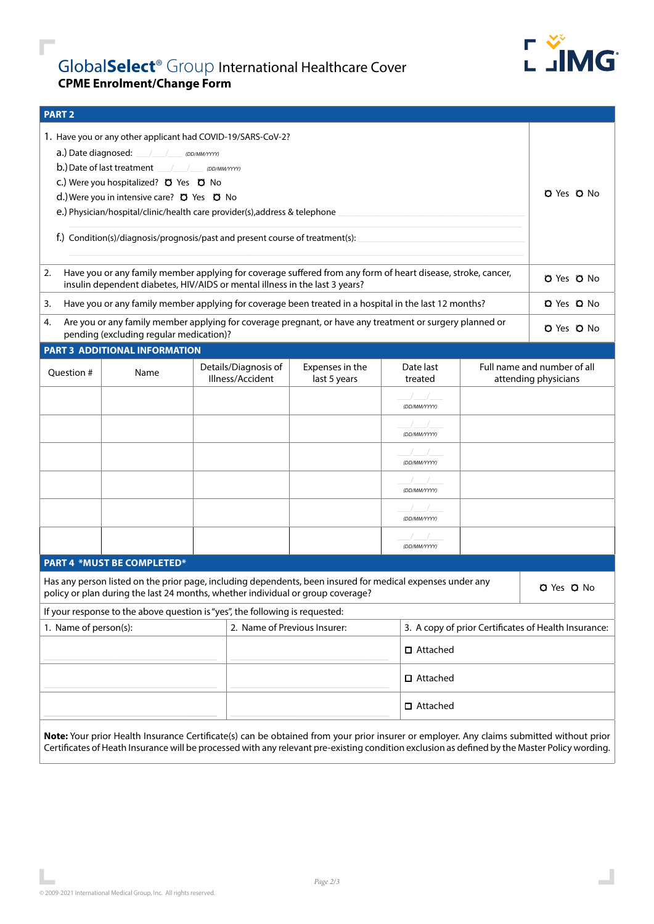

 $\mathbf{I}$ 

## Global**Select**® Group International Healthcare Cover **CPME Enrolment/Change Form**

| <b>PART 2</b>                                                                                                                                                                                     |                                              |                                                                                                            |              |                            |                                                      |                             |  |
|---------------------------------------------------------------------------------------------------------------------------------------------------------------------------------------------------|----------------------------------------------|------------------------------------------------------------------------------------------------------------|--------------|----------------------------|------------------------------------------------------|-----------------------------|--|
| 1. Have you or any other applicant had COVID-19/SARS-CoV-2?<br>a.) Date diagnosed: ///// pD/MM/YYYY)                                                                                              |                                              |                                                                                                            |              |                            |                                                      |                             |  |
|                                                                                                                                                                                                   | b.) Date of last treatment / / / (DD/MM/YYY) |                                                                                                            |              |                            |                                                      |                             |  |
|                                                                                                                                                                                                   | C.) Were you hospitalized? O Yes O No        |                                                                                                            |              |                            |                                                      |                             |  |
|                                                                                                                                                                                                   | d.) Were you in intensive care? Q Yes Q No   |                                                                                                            |              |                            |                                                      | $O$ Yes $O$ No              |  |
|                                                                                                                                                                                                   |                                              | e.) Physician/hospital/clinic/health care provider(s), address & telephone                                 |              |                            |                                                      |                             |  |
|                                                                                                                                                                                                   |                                              |                                                                                                            |              |                            |                                                      |                             |  |
| f.) Condition(s)/diagnosis/prognosis/past and present course of treatment(s):                                                                                                                     |                                              |                                                                                                            |              |                            |                                                      |                             |  |
| Have you or any family member applying for coverage suffered from any form of heart disease, stroke, cancer,<br>2.<br>insulin dependent diabetes, HIV/AIDS or mental illness in the last 3 years? |                                              |                                                                                                            |              |                            |                                                      |                             |  |
| Have you or any family member applying for coverage been treated in a hospital in the last 12 months?<br>3.                                                                                       |                                              |                                                                                                            |              |                            |                                                      |                             |  |
| Are you or any family member applying for coverage pregnant, or have any treatment or surgery planned or<br>4.<br>pending (excluding regular medication)?                                         | O Yes O No                                   |                                                                                                            |              |                            |                                                      |                             |  |
|                                                                                                                                                                                                   | PART 3 ADDITIONAL INFORMATION                |                                                                                                            |              |                            |                                                      |                             |  |
| Question #                                                                                                                                                                                        | Name                                         | Details/Diagnosis of<br>Expenses in the<br>Illness/Accident                                                |              | Date last<br>treated       |                                                      | Full name and number of all |  |
|                                                                                                                                                                                                   |                                              |                                                                                                            | last 5 years |                            |                                                      | attending physicians        |  |
|                                                                                                                                                                                                   |                                              |                                                                                                            |              | (DD/MM/YYYY)               |                                                      |                             |  |
|                                                                                                                                                                                                   |                                              |                                                                                                            |              | (DD/MM/YYYY)               |                                                      |                             |  |
|                                                                                                                                                                                                   |                                              |                                                                                                            |              | $\sqrt{2}$<br>(DD/MM/YYYY) |                                                      |                             |  |
|                                                                                                                                                                                                   |                                              |                                                                                                            |              | $\sqrt{2}$                 |                                                      |                             |  |
|                                                                                                                                                                                                   |                                              |                                                                                                            |              | (DD/MM/YYYY)               |                                                      |                             |  |
|                                                                                                                                                                                                   |                                              |                                                                                                            |              |                            |                                                      |                             |  |
|                                                                                                                                                                                                   |                                              |                                                                                                            |              | (DD/MM/YYYY)               |                                                      |                             |  |
|                                                                                                                                                                                                   |                                              |                                                                                                            |              |                            |                                                      |                             |  |
|                                                                                                                                                                                                   |                                              |                                                                                                            |              | (DD/MM/YYYY)               |                                                      |                             |  |
|                                                                                                                                                                                                   | <b>PART 4 *MUST BE COMPLETED*</b>            | Has any person listed on the prior page, including dependents, been insured for medical expenses under any |              |                            |                                                      | <b>O</b> Yes <b>O</b> No    |  |
|                                                                                                                                                                                                   |                                              | policy or plan during the last 24 months, whether individual or group coverage?                            |              |                            |                                                      |                             |  |
|                                                                                                                                                                                                   |                                              | If your response to the above question is "yes", the following is requested:                               |              |                            |                                                      |                             |  |
| 1. Name of person(s):                                                                                                                                                                             |                                              | 2. Name of Previous Insurer:                                                                               |              |                            | 3. A copy of prior Certificates of Health Insurance: |                             |  |
|                                                                                                                                                                                                   |                                              |                                                                                                            |              |                            | □ Attached                                           |                             |  |
|                                                                                                                                                                                                   |                                              |                                                                                                            |              | □ Attached                 |                                                      |                             |  |
|                                                                                                                                                                                                   |                                              |                                                                                                            |              | □ Attached                 |                                                      |                             |  |
|                                                                                                                                                                                                   |                                              |                                                                                                            |              |                            |                                                      |                             |  |

**Note:** Your prior Health Insurance Certificate(s) can be obtained from your prior insurer or employer. Any claims submitted without prior Certificates of Heath Insurance will be processed with any relevant pre-existing condition exclusion as defined by the Master Policy wording.